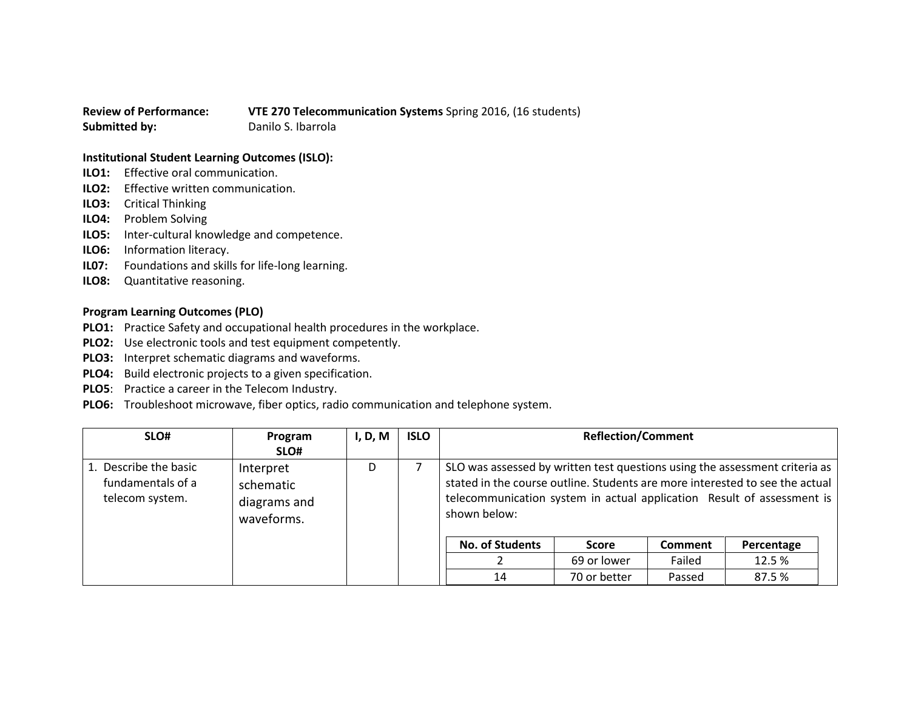**Review of Performance: VTE 270 Telecommunication Systems** Spring 2016, (16 students) **Submitted by:** Danilo S. Ibarrola

## **Institutional Student Learning Outcomes (ISLO):**

- **ILO1:** Effective oral communication.
- **ILO2:** Effective written communication.
- **ILO3:** Critical Thinking
- **ILO4:** Problem Solving
- **ILO5:** Inter-cultural knowledge and competence.
- **ILO6:** Information literacy.
- **IL07:** Foundations and skills for life-long learning.
- **ILO8:** Quantitative reasoning.

## **Program Learning Outcomes (PLO)**

- **PLO1:** Practice Safety and occupational health procedures in the workplace.
- **PLO2:** Use electronic tools and test equipment competently.
- **PLO3:** Interpret schematic diagrams and waveforms.
- **PLO4:** Build electronic projects to a given specification.
- **PLO5**: Practice a career in the Telecom Industry.
- **PLO6:** Troubleshoot microwave, fiber optics, radio communication and telephone system.

| SLO#                                                          | Program<br>SLO#                                      | I, D, M | <b>ISLO</b> |                                                                                                                                                                                                                                                       | <b>Reflection/Comment</b> |                |            |  |  |
|---------------------------------------------------------------|------------------------------------------------------|---------|-------------|-------------------------------------------------------------------------------------------------------------------------------------------------------------------------------------------------------------------------------------------------------|---------------------------|----------------|------------|--|--|
| 1. Describe the basic<br>fundamentals of a<br>telecom system. | Interpret<br>schematic<br>diagrams and<br>waveforms. | D       |             | SLO was assessed by written test questions using the assessment criteria as<br>stated in the course outline. Students are more interested to see the actual<br>telecommunication system in actual application Result of assessment is<br>shown below: |                           |                |            |  |  |
|                                                               |                                                      |         |             | <b>No. of Students</b>                                                                                                                                                                                                                                | Score                     | <b>Comment</b> | Percentage |  |  |
|                                                               |                                                      |         |             |                                                                                                                                                                                                                                                       | 69 or lower               | Failed         | 12.5%      |  |  |
|                                                               |                                                      |         |             | 14                                                                                                                                                                                                                                                    | 70 or better              | Passed         | 87.5 %     |  |  |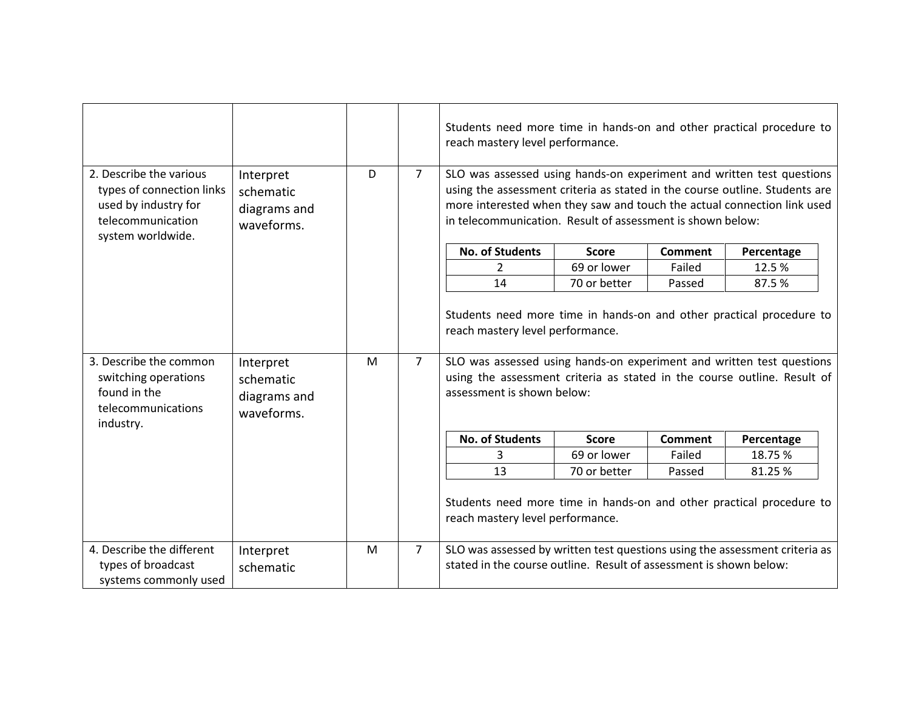|                                                                                                                        |                                                      |   |                | Students need more time in hands-on and other practical procedure to<br>reach mastery level performance.                                                                                                                                                                                      |              |                |            |  |
|------------------------------------------------------------------------------------------------------------------------|------------------------------------------------------|---|----------------|-----------------------------------------------------------------------------------------------------------------------------------------------------------------------------------------------------------------------------------------------------------------------------------------------|--------------|----------------|------------|--|
| 2. Describe the various<br>types of connection links<br>used by industry for<br>telecommunication<br>system worldwide. | Interpret<br>schematic<br>diagrams and<br>waveforms. | D | 7 <sup>1</sup> | SLO was assessed using hands-on experiment and written test questions<br>using the assessment criteria as stated in the course outline. Students are<br>more interested when they saw and touch the actual connection link used<br>in telecommunication. Result of assessment is shown below: |              |                |            |  |
|                                                                                                                        |                                                      |   |                | <b>No. of Students</b>                                                                                                                                                                                                                                                                        | <b>Score</b> | <b>Comment</b> | Percentage |  |
|                                                                                                                        |                                                      |   |                | $\overline{2}$                                                                                                                                                                                                                                                                                | 69 or lower  | Failed         | 12.5%      |  |
|                                                                                                                        |                                                      |   |                | 14                                                                                                                                                                                                                                                                                            | 70 or better | Passed         | 87.5%      |  |
| 3. Describe the common<br>switching operations<br>found in the<br>telecommunications<br>industry.                      | Interpret<br>schematic<br>diagrams and<br>waveforms. | M | $\overline{7}$ | reach mastery level performance.<br>SLO was assessed using hands-on experiment and written test questions<br>using the assessment criteria as stated in the course outline. Result of<br>assessment is shown below:                                                                           |              |                |            |  |
|                                                                                                                        |                                                      |   |                | <b>No. of Students</b>                                                                                                                                                                                                                                                                        | <b>Score</b> | <b>Comment</b> | Percentage |  |
|                                                                                                                        |                                                      |   |                | 3                                                                                                                                                                                                                                                                                             | 69 or lower  | Failed         | 18.75%     |  |
|                                                                                                                        |                                                      |   |                | 13                                                                                                                                                                                                                                                                                            | 70 or better | Passed         | 81.25%     |  |
|                                                                                                                        |                                                      |   |                | Students need more time in hands-on and other practical procedure to<br>reach mastery level performance.                                                                                                                                                                                      |              |                |            |  |
| 4. Describe the different                                                                                              | Interpret                                            | M | $\overline{7}$ | SLO was assessed by written test questions using the assessment criteria as                                                                                                                                                                                                                   |              |                |            |  |
| types of broadcast                                                                                                     | schematic                                            |   |                | stated in the course outline. Result of assessment is shown below:                                                                                                                                                                                                                            |              |                |            |  |
| systems commonly used                                                                                                  |                                                      |   |                |                                                                                                                                                                                                                                                                                               |              |                |            |  |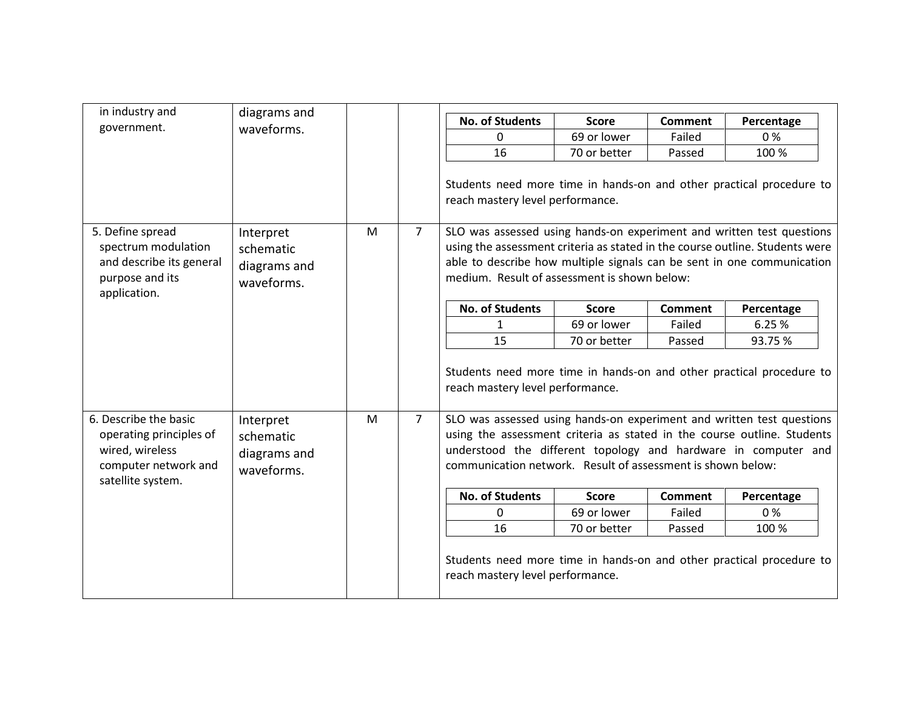| diagrams and                                                                                                                                                             |  |   | <b>No. of Students</b>                                         |              |                                                                                     |                                                                                                                                                                                                                                                                                                                                                                                                                                                                                                                                                                                               |
|--------------------------------------------------------------------------------------------------------------------------------------------------------------------------|--|---|----------------------------------------------------------------|--------------|-------------------------------------------------------------------------------------|-----------------------------------------------------------------------------------------------------------------------------------------------------------------------------------------------------------------------------------------------------------------------------------------------------------------------------------------------------------------------------------------------------------------------------------------------------------------------------------------------------------------------------------------------------------------------------------------------|
| waveforms.                                                                                                                                                               |  |   |                                                                | <b>Score</b> | <b>Comment</b>                                                                      | Percentage<br>0%                                                                                                                                                                                                                                                                                                                                                                                                                                                                                                                                                                              |
|                                                                                                                                                                          |  |   | 16                                                             | 70 or better | Passed                                                                              | 100 %                                                                                                                                                                                                                                                                                                                                                                                                                                                                                                                                                                                         |
|                                                                                                                                                                          |  |   |                                                                |              |                                                                                     |                                                                                                                                                                                                                                                                                                                                                                                                                                                                                                                                                                                               |
| 7 <sup>1</sup><br>M<br>Interpret<br>spectrum modulation<br>schematic<br>and describe its general<br>diagrams and<br>waveforms.                                           |  |   |                                                                |              |                                                                                     |                                                                                                                                                                                                                                                                                                                                                                                                                                                                                                                                                                                               |
|                                                                                                                                                                          |  |   | <b>No. of Students</b>                                         | <b>Score</b> | <b>Comment</b>                                                                      | Percentage                                                                                                                                                                                                                                                                                                                                                                                                                                                                                                                                                                                    |
|                                                                                                                                                                          |  |   | $\mathbf{1}$                                                   | 69 or lower  | Failed                                                                              | 6.25 %                                                                                                                                                                                                                                                                                                                                                                                                                                                                                                                                                                                        |
|                                                                                                                                                                          |  |   | 15                                                             | 70 or better | Passed                                                                              | 93.75%                                                                                                                                                                                                                                                                                                                                                                                                                                                                                                                                                                                        |
|                                                                                                                                                                          |  |   |                                                                |              |                                                                                     |                                                                                                                                                                                                                                                                                                                                                                                                                                                                                                                                                                                               |
| 6. Describe the basic<br>Interpret<br>operating principles of<br>schematic<br>wired, wireless<br>diagrams and<br>computer network and<br>waveforms.<br>satellite system. |  |   | understood the different topology and hardware in computer and |              |                                                                                     |                                                                                                                                                                                                                                                                                                                                                                                                                                                                                                                                                                                               |
|                                                                                                                                                                          |  |   | communication network. Result of assessment is shown below:    |              |                                                                                     |                                                                                                                                                                                                                                                                                                                                                                                                                                                                                                                                                                                               |
|                                                                                                                                                                          |  |   | <b>No. of Students</b>                                         | <b>Score</b> | <b>Comment</b>                                                                      | Percentage                                                                                                                                                                                                                                                                                                                                                                                                                                                                                                                                                                                    |
|                                                                                                                                                                          |  |   | 0                                                              | 69 or lower  | Failed                                                                              | 0%                                                                                                                                                                                                                                                                                                                                                                                                                                                                                                                                                                                            |
|                                                                                                                                                                          |  | M | $\overline{7}$                                                 | $\mathbf{0}$ | 69 or lower<br>reach mastery level performance.<br>reach mastery level performance. | Failed<br>Students need more time in hands-on and other practical procedure to<br>SLO was assessed using hands-on experiment and written test questions<br>using the assessment criteria as stated in the course outline. Students were<br>able to describe how multiple signals can be sent in one communication<br>medium. Result of assessment is shown below:<br>Students need more time in hands-on and other practical procedure to<br>SLO was assessed using hands-on experiment and written test questions<br>using the assessment criteria as stated in the course outline. Students |